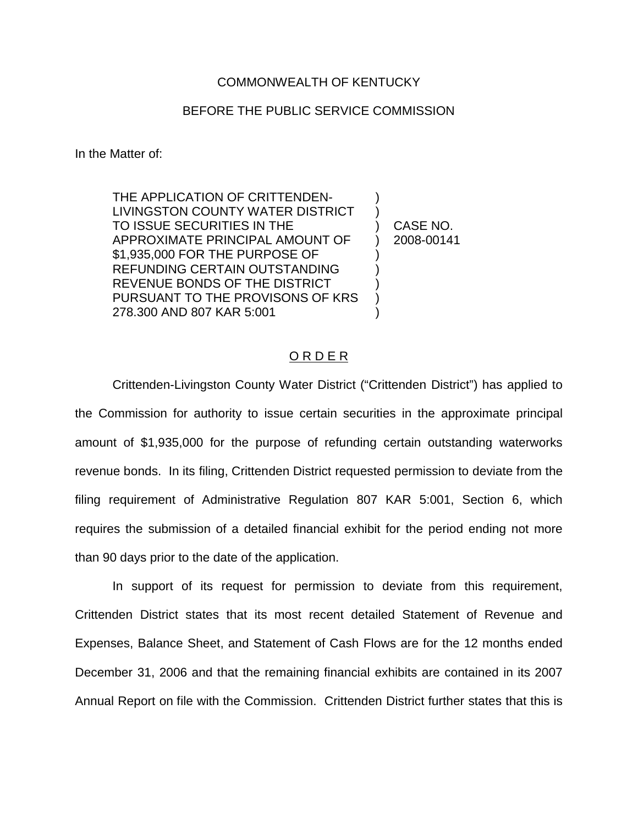## COMMONWEALTH OF KENTUCKY

## BEFORE THE PUBLIC SERVICE COMMISSION

In the Matter of:

THE APPLICATION OF CRITTENDEN-LIVINGSTON COUNTY WATER DISTRICT TO ISSUE SECURITIES IN THE APPROXIMATE PRINCIPAL AMOUNT OF \$1,935,000 FOR THE PURPOSE OF REFUNDING CERTAIN OUTSTANDING REVENUE BONDS OF THE DISTRICT PURSUANT TO THE PROVISONS OF KRS 278.300 AND 807 KAR 5:001

) CASE NO. ) 2008-00141

) )

) ) ) ) )

## O R D E R

Crittenden-Livingston County Water District ("Crittenden District") has applied to the Commission for authority to issue certain securities in the approximate principal amount of \$1,935,000 for the purpose of refunding certain outstanding waterworks revenue bonds. In its filing, Crittenden District requested permission to deviate from the filing requirement of Administrative Regulation 807 KAR 5:001, Section 6, which requires the submission of a detailed financial exhibit for the period ending not more than 90 days prior to the date of the application.

In support of its request for permission to deviate from this requirement, Crittenden District states that its most recent detailed Statement of Revenue and Expenses, Balance Sheet, and Statement of Cash Flows are for the 12 months ended December 31, 2006 and that the remaining financial exhibits are contained in its 2007 Annual Report on file with the Commission. Crittenden District further states that this is